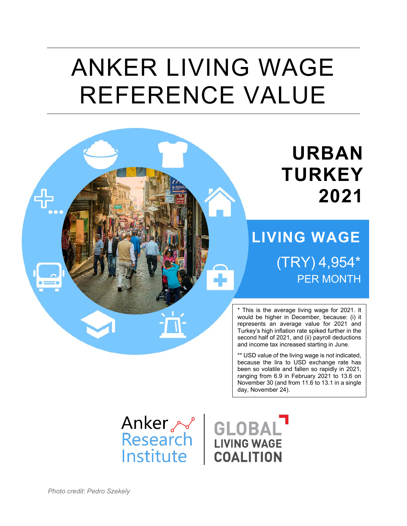# ANKER LIVING WAGE REFERENCE VALUE

## **URBAN TURKEY 2021**

## **LIVING WAGE**  (TRY) 4,954\* **PER MONTH**

\* This is the average living wage for 2021. It would be higher in December, because: (i) it represents an average value for 2021 and Turkey's high inflation rate spiked further in the second half of 2021, and (ii) payroll deductions and income tax increased starting in June.

\*\* USD value of the living wage is not indicated, because the lira to USD exchange rate has been so volatile and fallen so rapidly in 2021, ranging from 6.9 in February 2021 to 13.6 on November 30 (and from 11.6 to 13.1 in a single day, November 24).

Institute

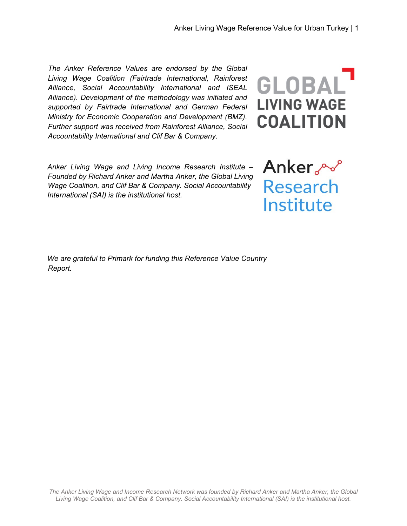*The Anker Reference Values are endorsed by the Global Living Wage Coalition (Fairtrade International, Rainforest Alliance, Social Accountability International and ISEAL Alliance). Development of the methodology was initiated and supported by Fairtrade International and German Federal Ministry for Economic Cooperation and Development (BMZ). Further support was received from Rainforest Alliance, Social Accountability International and Clif Bar & Company.*

*Anker Living Wage and Living Income Research Institute – Founded by Richard Anker and Martha Anker, the Global Living Wage Coalition, and Clif Bar & Company. Social Accountability International (SAI) is the institutional host.* 

*We are grateful to Primark for funding this Reference Value Country Report.*

*The Anker Living Wage and Income Research Network was founded by Richard Anker and Martha Anker, the Global Living Wage Coalition, and Clif Bar & Company. Social Accountability International (SAI) is the institutional host.*



Anker **Research** Institute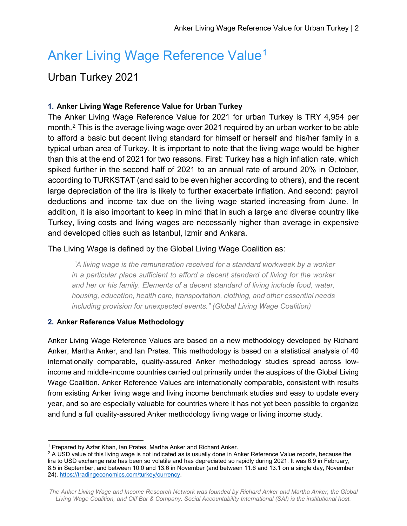### Anker Living Wage Reference Value<sup>[1](#page-2-0)</sup>

#### Urban Turkey 2021

#### **1. Anker Living Wage Reference Value for Urban Turkey**

The Anker Living Wage Reference Value for 2021 for urban Turkey is TRY 4,954 per month.[2](#page-2-1) This is the average living wage over 2021 required by an urban worker to be able to afford a basic but decent living standard for himself or herself and his/her family in a typical urban area of Turkey. It is important to note that the living wage would be higher than this at the end of 2021 for two reasons. First: Turkey has a high inflation rate, which spiked further in the second half of 2021 to an annual rate of around 20% in October, according to TURKSTAT (and said to be even higher according to others), and the recent large depreciation of the lira is likely to further exacerbate inflation. And second: payroll deductions and income tax due on the living wage started increasing from June. In addition, it is also important to keep in mind that in such a large and diverse country like Turkey, living costs and living wages are necessarily higher than average in expensive and developed cities such as Istanbul, Izmir and Ankara.

#### The Living Wage is defined by the Global Living Wage Coalition as:

*"A living wage is the remuneration received for a standard workweek by a worker in a particular place sufficient to afford a decent standard of living for the worker and her or his family. Elements of a decent standard of living include food, water, housing, education, health care, transportation, clothing, and other essential needs including provision for unexpected events." (Global Living Wage Coalition)*

#### **2. Anker Reference Value Methodology**

Anker Living Wage Reference Values are based on a new methodology developed by Richard Anker, Martha Anker, and Ian Prates. This methodology is based on a statistical analysis of 40 internationally comparable, quality-assured Anker methodology studies spread across lowincome and middle-income countries carried out primarily under the auspices of the Global Living Wage Coalition. Anker Reference Values are internationally comparable, consistent with results from existing Anker living wage and living income benchmark studies and easy to update every year, and so are especially valuable for countries where it has not yet been possible to organize and fund a full quality-assured Anker methodology living wage or living income study.

<span id="page-2-0"></span><sup>&</sup>lt;sup>1</sup> Prepared by Azfar Khan, Ian Prates, Martha Anker and Richard Anker.

<span id="page-2-1"></span> $2$  A USD value of this living wage is not indicated as is usually done in Anker Reference Value reports, because the lira to USD exchange rate has been so volatile and has depreciated so rapidly during 2021. It was 6.9 in February, 8.5 in September, and between 10.0 and 13.6 in November (and between 11.6 and 13.1 on a single day, November 24). [https://tradingeconomics.com/turkey/currency.](https://tradingeconomics.com/turkey/currency)

*The Anker Living Wage and Income Research Network was founded by Richard Anker and Martha Anker, the Global Living Wage Coalition, and Clif Bar & Company. Social Accountability International (SAI) is the institutional host.*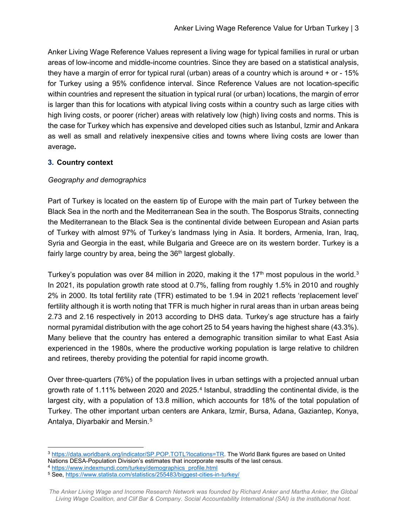Anker Living Wage Reference Values represent a living wage for typical families in rural or urban areas of low-income and middle-income countries. Since they are based on a statistical analysis, they have a margin of error for typical rural (urban) areas of a country which is around + or - 15% for Turkey using a 95% confidence interval. Since Reference Values are not location-specific within countries and represent the situation in typical rural (or urban) locations, the margin of error is larger than this for locations with atypical living costs within a country such as large cities with high living costs, or poorer (richer) areas with relatively low (high) living costs and norms. This is the case for Turkey which has expensive and developed cities such as Istanbul, Izmir and Ankara as well as small and relatively inexpensive cities and towns where living costs are lower than average*.*

#### **3. Country context**

#### *Geography and demographics*

Part of Turkey is located on the eastern tip of Europe with the main part of Turkey between the Black Sea in the north and the Mediterranean Sea in the south. The Bosporus Straits, connecting the Mediterranean to the Black Sea is the continental divide between European and Asian parts of Turkey with almost 97% of Turkey's landmass lying in Asia. It borders, Armenia, Iran, Iraq, Syria and Georgia in the east, while Bulgaria and Greece are on its western border. Turkey is a fairly large country by area, being the  $36<sup>th</sup>$  largest globally.

Turkey's population was over 84 million in 2020, making it the 17<sup>th</sup> most populous in the world.<sup>[3](#page-3-0)</sup> In 2021, its population growth rate stood at 0.7%, falling from roughly 1.5% in 2010 and roughly 2% in 2000. Its total fertility rate (TFR) estimated to be 1.94 in 2021 reflects 'replacement level' fertility although it is worth noting that TFR is much higher in rural areas than in urban areas being 2.73 and 2.16 respectively in 2013 according to DHS data. Turkey's age structure has a fairly normal pyramidal distribution with the age cohort 25 to 54 years having the highest share (43.3%). Many believe that the country has entered a demographic transition similar to what East Asia experienced in the 1980s, where the productive working population is large relative to children and retirees, thereby providing the potential for rapid income growth.

Over three-quarters (76%) of the population lives in urban settings with a projected annual urban growth rate of 1.11% between 2020 and 2025.[4](#page-3-1) Istanbul, straddling the continental divide, is the largest city, with a population of 13.8 million, which accounts for 18% of the total population of Turkey. The other important urban centers are Ankara, Izmir, Bursa, Adana, Gaziantep, Konya, Antalya, Diyarbakir and Mersin.[5](#page-3-2)

<span id="page-3-1"></span><sup>4</sup> [https://www.indexmundi.com/turkey/demographics\\_profile.html](https://www.indexmundi.com/turkey/demographics_profile.html)

<span id="page-3-0"></span> <sup>3</sup> [https://data.worldbank.org/indicator/SP.POP.TOTL?locations=TR.](https://data.worldbank.org/indicator/SP.POP.TOTL?locations=TR) The World Bank figures are based on United Nations DESA-Population Division's estimates that incorporate results of the last census.

<span id="page-3-2"></span><sup>5</sup> See,<https://www.statista.com/statistics/255483/biggest-cities-in-turkey/>

*The Anker Living Wage and Income Research Network was founded by Richard Anker and Martha Anker, the Global Living Wage Coalition, and Clif Bar & Company. Social Accountability International (SAI) is the institutional host.*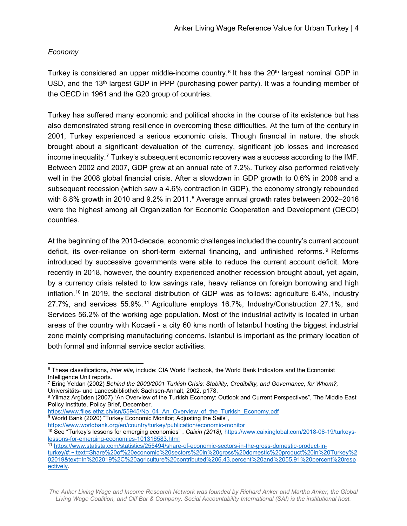#### *Economy*

Turkey is considered an upper middle-income country.<sup>[6](#page-4-0)</sup> It has the  $20<sup>th</sup>$  largest nominal GDP in USD, and the 13<sup>th</sup> largest GDP in PPP (purchasing power parity). It was a founding member of the OECD in 1961 and the G20 group of countries.

Turkey has suffered many economic and political shocks in the course of its existence but has also demonstrated strong resilience in overcoming these difficulties. At the turn of the century in 2001, Turkey experienced a serious economic crisis. Though financial in nature, the shock brought about a significant devaluation of the currency, significant job losses and increased income inequality.<sup>[7](#page-4-1)</sup> Turkey's subsequent economic recovery was a success according to the IMF. Between 2002 and 2007, GDP grew at an annual rate of 7.2%. Turkey also performed relatively well in the 2008 global financial crisis. After a slowdown in GDP growth to 0.6% in 2008 and a subsequent recession (which saw a 4.6% contraction in GDP), the economy strongly rebounded with [8](#page-4-2).8% growth in 2010 and 9.2% in 2011.<sup>8</sup> Average annual growth rates between 2002–2016 were the highest among all Organization for Economic Cooperation and Development (OECD) countries.

At the beginning of the 2010-decade, economic challenges included the country's current account deficit, its over-reliance on short-term external financing, and unfinished reforms. [9](#page-4-3) Reforms introduced by successive governments were able to reduce the current account deficit. More recently in 2018, however, the country experienced another recession brought about, yet again, by a currency crisis related to low savings rate, heavy reliance on foreign borrowing and high inflation[.10](#page-4-4) In 2019, the sectoral distribution of GDP was as follows: agriculture 6.4%, industry 27.7%, and services 55.9%. [11](#page-4-5) Agriculture employs 16.7%, Industry/Construction 27.1%, and Services 56.2% of the working age population. Most of the industrial activity is located in urban areas of the country with Kocaeli - a city 60 kms north of Istanbul hosting the biggest industrial zone mainly comprising manufacturing concerns. Istanbul is important as the primary location of both formal and informal service sector activities.

<span id="page-4-3"></span><https://www.worldbank.org/en/country/turkey/publication/economic-monitor>

<span id="page-4-0"></span> <sup>6</sup> These classifications*, inter alia*, include: CIA World Factbook, the World Bank Indicators and the Economist Intelligence Unit reports.

<span id="page-4-1"></span><sup>7</sup> Erinç Yeldan (2002) *Behind the 2000/2001 Turkish Crisis: Stability, Credibility, and Governance, for Whom?,*  Universitäts- und Landesbibliothek Sachsen-Anhalt, 2002. p178.

<span id="page-4-2"></span><sup>8</sup> Yilmaz Argüden (2007) "An Overview of the Turkish Economy: Outlook and Current Perspectives", The Middle East Policy Institute, Policy Brief, December.

[https://www.files.ethz.ch/isn/55945/No\\_04\\_An\\_Overview\\_of\\_the\\_Turkish\\_Economy.pdf](https://www.files.ethz.ch/isn/55945/No_04_An_Overview_of_the_Turkish_Economy.pdf)  $9$  World Bank (2020) "Turkey Economic Monitor; Adjusting the Sails",

<span id="page-4-4"></span><sup>10</sup> See "Turkey's lessons for emerging economies" , *Caixin (2018),* [https://www.caixinglobal.com/2018-08-19/turkeys](https://www.caixinglobal.com/2018-08-19/turkeys-lessons-for-emerging-economies-101316583.html)[lessons-for-emerging-economies-101316583.html](https://www.caixinglobal.com/2018-08-19/turkeys-lessons-for-emerging-economies-101316583.html)

<span id="page-4-5"></span><sup>11</sup> [https://www.statista.com/statistics/255494/share-of-economic-sectors-in-the-gross-domestic-product-in](https://www.statista.com/statistics/255494/share-of-economic-sectors-in-the-gross-domestic-product-in-turkey/#:%7E:text=Share%20of%20economic%20sectors%20in%20gross%20domestic%20product%20in%20Turkey%202019&text=In%202019%2C%20agriculture%20contributed%206.43,percent%20and%2055.91%20percent%20respectively)[turkey/#:~:text=Share%20of%20economic%20sectors%20in%20gross%20domestic%20product%20in%20Turkey%2](https://www.statista.com/statistics/255494/share-of-economic-sectors-in-the-gross-domestic-product-in-turkey/#:%7E:text=Share%20of%20economic%20sectors%20in%20gross%20domestic%20product%20in%20Turkey%202019&text=In%202019%2C%20agriculture%20contributed%206.43,percent%20and%2055.91%20percent%20respectively) [02019&text=In%202019%2C%20agriculture%20contributed%206.43,percent%20and%2055.91%20percent%20resp](https://www.statista.com/statistics/255494/share-of-economic-sectors-in-the-gross-domestic-product-in-turkey/#:%7E:text=Share%20of%20economic%20sectors%20in%20gross%20domestic%20product%20in%20Turkey%202019&text=In%202019%2C%20agriculture%20contributed%206.43,percent%20and%2055.91%20percent%20respectively) [ectively.](https://www.statista.com/statistics/255494/share-of-economic-sectors-in-the-gross-domestic-product-in-turkey/#:%7E:text=Share%20of%20economic%20sectors%20in%20gross%20domestic%20product%20in%20Turkey%202019&text=In%202019%2C%20agriculture%20contributed%206.43,percent%20and%2055.91%20percent%20respectively)

*The Anker Living Wage and Income Research Network was founded by Richard Anker and Martha Anker, the Global Living Wage Coalition, and Clif Bar & Company. Social Accountability International (SAI) is the institutional host.*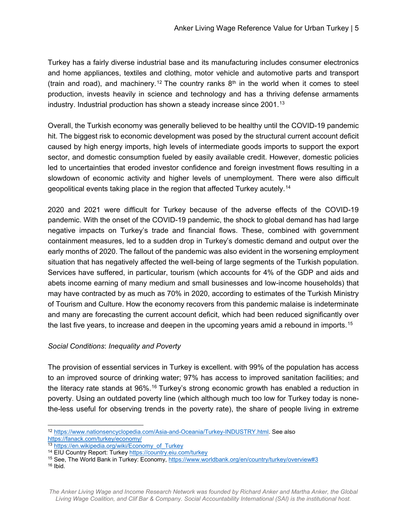Turkey has a fairly diverse industrial base and its manufacturing includes consumer electronics and home appliances, textiles and clothing, motor vehicle and automotive parts and transport (train and road), and machinery.<sup>[12](#page-5-0)</sup> The country ranks  $8<sup>th</sup>$  in the world when it comes to steel production, invests heavily in science and technology and has a thriving defense armaments industry. Industrial production has shown a steady increase since 2001.[13](#page-5-1)

Overall, the Turkish economy was generally believed to be healthy until the COVID-19 pandemic hit. The biggest risk to economic development was posed by the structural current account deficit caused by high energy imports, high levels of intermediate goods imports to support the export sector, and domestic consumption fueled by easily available credit. However, domestic policies led to uncertainties that eroded investor confidence and foreign investment flows resulting in a slowdown of economic activity and higher levels of unemployment. There were also difficult geopolitical events taking place in the region that affected Turkey acutely.[14](#page-5-2)

2020 and 2021 were difficult for Turkey because of the adverse effects of the COVID-19 pandemic. With the onset of the COVID-19 pandemic, the shock to global demand has had large negative impacts on Turkey's trade and financial flows. These, combined with government containment measures, led to a sudden drop in Turkey's domestic demand and output over the early months of 2020. The fallout of the pandemic was also evident in the worsening employment situation that has negatively affected the well-being of large segments of the Turkish population. Services have suffered, in particular, tourism (which accounts for 4% of the GDP and aids and abets income earning of many medium and small businesses and low-income households) that may have contracted by as much as 70% in 2020, according to estimates of the Turkish Ministry of Tourism and Culture. How the economy recovers from this pandemic malaise is indeterminate and many are forecasting the current account deficit, which had been reduced significantly over the last five years, to increase and deepen in the upcoming years amid a rebound in imports.<sup>[15](#page-5-3)</sup>

#### *Social Conditions*: *Inequality and Poverty*

The provision of essential services in Turkey is excellent. with 99% of the population has access to an improved source of drinking water; 97% has access to improved sanitation facilities; and the literacy rate stands at 96%.<sup>[16](#page-5-4)</sup> Turkey's strong economic growth has enabled a reduction in poverty. Using an outdated poverty line (which although much too low for Turkey today is nonethe-less useful for observing trends in the poverty rate), the share of people living in extreme

<span id="page-5-0"></span> <sup>12</sup> [https://www.nationsencyclopedia.com/Asia-and-Oceania/Turkey-INDUSTRY.html.](https://www.nationsencyclopedia.com/Asia-and-Oceania/Turkey-INDUSTRY.html) See also <https://fanack.com/turkey/economy/>

<span id="page-5-1"></span><sup>13</sup> [https://en.wikipedia.org/wiki/Economy\\_of\\_Turkey](https://en.wikipedia.org/wiki/Economy_of_Turkey)

<span id="page-5-2"></span><sup>14</sup> EIU Country Report: Turke[y https://country.eiu.com/turkey](https://country.eiu.com/turkey)

<span id="page-5-3"></span><sup>15</sup> See, The World Bank in Turkey: Economy[, https://www.worldbank.org/en/country/turkey/overview#3](https://www.worldbank.org/en/country/turkey/overview#3)

<span id="page-5-4"></span> $16$  Ibid.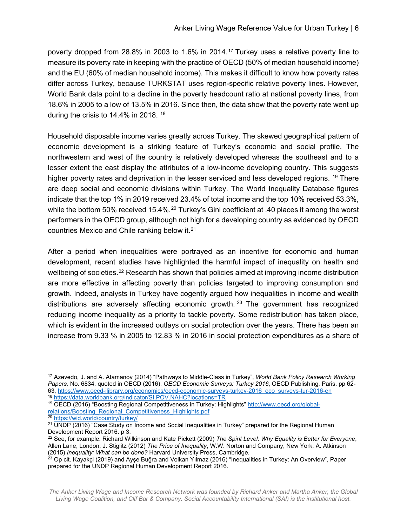poverty dropped from 28.8% in 2003 to 1.6% in 2014.[17](#page-6-0) Turkey uses a relative poverty line to measure its poverty rate in keeping with the practice of OECD (50% of median household income) and the EU (60% of median household income). This makes it difficult to know how poverty rates differ across Turkey, because TURKSTAT uses region-specific relative poverty lines. However, World Bank data point to a decline in the poverty headcount ratio at national poverty lines, from 18.6% in 2005 to a low of 13.5% in 2016. Since then, the data show that the poverty rate went up during the crisis to 14.4% in 2018. [18](#page-6-1)

Household disposable income varies greatly across Turkey. The skewed geographical pattern of economic development is a striking feature of Turkey's economic and social profile. The northwestern and west of the country is relatively developed whereas the southeast and to a lesser extent the east display the attributes of a low-income developing country. This suggests higher poverty rates and deprivation in the lesser serviced and less developed regions. <sup>[19](#page-6-2)</sup> There are deep social and economic divisions within Turkey. The World Inequality Database figures indicate that the top 1% in 2019 received 23.4% of total income and the top 10% received 53.3%, while the bottom 50% received 15.4%.<sup>[20](#page-6-3)</sup> Turkey's Gini coefficient at .40 places it among the worst performers in the OECD group, although not high for a developing country as evidenced by OECD countries Mexico and Chile ranking below it.[21](#page-6-4)

After a period when inequalities were portrayed as an incentive for economic and human development, recent studies have highlighted the harmful impact of inequality on health and wellbeing of societies.<sup>[22](#page-6-5)</sup> Research has shown that policies aimed at improving income distribution are more effective in affecting poverty than policies targeted to improving consumption and growth. Indeed, analysts in Turkey have cogently argued how inequalities in income and wealth distributions are adversely affecting economic growth.  $23$  The government has recognized reducing income inequality as a priority to tackle poverty. Some redistribution has taken place, which is evident in the increased outlays on social protection over the years. There has been an increase from 9.33 % in 2005 to 12.83 % in 2016 in social protection expenditures as a share of

<span id="page-6-0"></span> <sup>17</sup> Azevedo, J. and A. Atamanov (2014) "Pathways to Middle-Class in Turkey", *World Bank Policy Research Working Papers,* No. 6834. quoted in OECD (2016), *OECD Economic Surveys: Turkey 2016*, OECD Publishing, Paris. pp 62- 63, [https://www.oecd-ilibrary.org/economics/oecd-economic-surveys-turkey-2016\\_eco\\_surveys-tur-2016-en](https://www.oecd-ilibrary.org/economics/oecd-economic-surveys-turkey-2016_eco_surveys-tur-2016-en) <sup>18</sup> <https://data.worldbank.org/indicator/SI.POV.NAHC?locations=TR>

<span id="page-6-2"></span><span id="page-6-1"></span><sup>19</sup> OECD (2016) "Boosting Regional Competitiveness in Turkey: Highlights" [http://www.oecd.org/global](http://www.oecd.org/global-relations/Boosting_Regional_Competitiveness_Highlights.pdf)[relations/Boosting\\_Regional\\_Competitiveness\\_Highlights.pdf](http://www.oecd.org/global-relations/Boosting_Regional_Competitiveness_Highlights.pdf)

<span id="page-6-3"></span><sup>20</sup> <https://wid.world/country/turkey/>

<span id="page-6-4"></span><sup>&</sup>lt;sup>21</sup> UNDP (2016) "Case Study on Income and Social Inequalities in Turkey" prepared for the Regional Human Development Report 2016. p 3.

<span id="page-6-5"></span><sup>22</sup> See, for example: Richard Wilkinson and Kate Pickett (2009) *The Spirit Level: Why Equality is Better for Everyone*, Allen Lane, London; J. Stiglitz (2012) *The Price of Inequality*, W.W. Norton and Company, New York; A. Atkinson (2015) *Inequality: What can be done?* Harvard University Press, Cambridge.

<span id="page-6-6"></span> $^{23}$  Op cit. Kayakçi (2019) and Ayşe Buğra and Volkan Yılmaz (2016) "Inequalities in Turkey: An Overview", Paper prepared for the UNDP Regional Human Development Report 2016.

*The Anker Living Wage and Income Research Network was founded by Richard Anker and Martha Anker, the Global Living Wage Coalition, and Clif Bar & Company. Social Accountability International (SAI) is the institutional host.*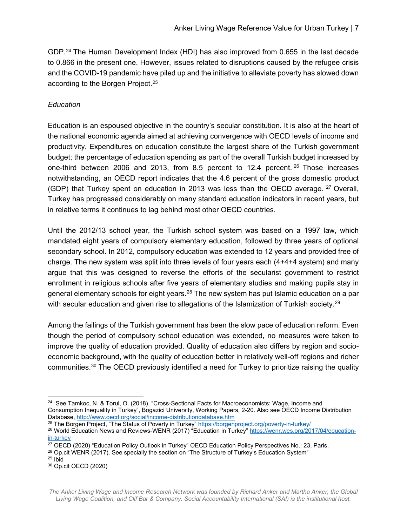GDP.[24](#page-7-0) The Human Development Index (HDI) has also improved from 0.655 in the last decade to 0.866 in the present one. However, issues related to disruptions caused by the refugee crisis and the COVID-19 pandemic have piled up and the initiative to alleviate poverty has slowed down according to the Borgen Project.[25](#page-7-1)

#### *Education*

Education is an espoused objective in the country's secular constitution. It is also at the heart of the national economic agenda aimed at achieving convergence with OECD levels of income and productivity. Expenditures on education constitute the largest share of the Turkish government budget; the percentage of education spending as part of the overall Turkish budget increased by one-third between 2006 and 2013, from 8.5 percent to 12.4 percent. [26](#page-7-2) Those increases notwithstanding, an OECD report indicates that the 4.6 percent of the gross domestic product (GDP) that Turkey spent on education in 2013 was less than the OECD average. <sup>[27](#page-7-3)</sup> Overall, Turkey has progressed considerably on many standard education indicators in recent years, but in relative terms it continues to lag behind most other OECD countries.

Until the 2012/13 school year, the Turkish school system was based on a 1997 law, which mandated eight years of compulsory elementary education, followed by three years of optional secondary school. In 2012, compulsory education was extended to 12 years and provided free of charge. The new system was split into three levels of four years each (4+4+4 system) and many argue that this was designed to reverse the efforts of the secularist government to restrict enrollment in religious schools after five years of elementary studies and making pupils stay in general elementary schools for eight years.<sup>[28](#page-7-4)</sup> The new system has put Islamic education on a par with secular education and given rise to allegations of the Islamization of Turkish society.<sup>[29](#page-7-5)</sup>

Among the failings of the Turkish government has been the slow pace of education reform. Even though the period of compulsory school education was extended, no measures were taken to improve the quality of education provided. Quality of education also differs by region and socioeconomic background, with the quality of education better in relatively well-off regions and richer communities.[30](#page-7-6) The OECD previously identified a need for Turkey to prioritize raising the quality

<span id="page-7-0"></span><sup>&</sup>lt;sup>24</sup> See Tamkoc, N. & Torul, O. (2018). "Cross-Sectional Facts for Macroeconomists: Wage, Income and Consumption Inequality in Turkey", Bogazici University, Working Papers, 2-20. Also see OECD Income Distribution Database,<http://www.oecd.org/social/income-distributiondatabase.htm>

<span id="page-7-2"></span><span id="page-7-1"></span><sup>&</sup>lt;sup>25</sup> The Borgen Project, "The Status of Poverty in Turkey"<https://borgenproject.org/poverty-in-turkey/> <sup>26</sup> World Education News and Reviews-WENR (2017) "Education in Turkey" [https://wenr.wes.org/2017/04/education](https://wenr.wes.org/2017/04/education-in-turkey)[in-turkey](https://wenr.wes.org/2017/04/education-in-turkey)

<span id="page-7-3"></span><sup>27</sup> OECD (2020) "Education Policy Outlook in Turkey" OECD Education Policy Perspectives No.: 23, Paris.

<span id="page-7-4"></span><sup>&</sup>lt;sup>28</sup> Op.cit WENR (2017). See specially the section on "The Structure of Turkey's Education System"

<span id="page-7-5"></span><sup>29</sup> Ibid

<span id="page-7-6"></span><sup>30</sup> Op.cit OECD (2020)

*The Anker Living Wage and Income Research Network was founded by Richard Anker and Martha Anker, the Global Living Wage Coalition, and Clif Bar & Company. Social Accountability International (SAI) is the institutional host.*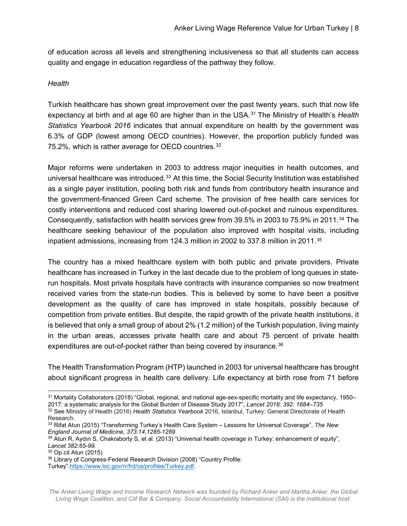of education across all levels and strengthening inclusiveness so that all students can access quality and engage in education regardless of the pathway they follow.

#### *Health*

Turkish healthcare has shown great improvement over the past twenty years, such that now life expectancy at birth and at age 60 are higher than in the USA.[31](#page-8-0) The Ministry of Health's *Health Statistics Yearbook 2016* indicates that annual expenditure on health by the government was 6.3% of GDP (lowest among OECD countries). However, the proportion publicly funded was 75.2%, which is rather average for OECD countries.[32](#page-8-1)

Major reforms were undertaken in 2003 to address major inequities in health outcomes, and universal healthcare was introduced.<sup>[33](#page-8-2)</sup> At this time, the Social Security Institution was established as a single payer institution, pooling both risk and funds from contributory health insurance and the government-financed Green Card scheme. The provision of free health care services for costly interventions and reduced cost sharing lowered out-of-pocket and ruinous expenditures. Consequently, satisfaction with health services grew from 39.5% in 2003 to 75.9% in 2011.[34](#page-8-3) The healthcare seeking behaviour of the population also improved with hospital visits, including inpatient admissions, increasing from 124.3 million in 2002 to 337.8 million in 2011.<sup>[35](#page-8-4)</sup>

The country has a mixed healthcare system with both public and private providers. Private healthcare has increased in Turkey in the last decade due to the problem of long queues in staterun hospitals. Most private hospitals have contracts with insurance companies so now treatment received varies from the state-run bodies. This is believed by some to have been a positive development as the quality of care has improved in state hospitals, possibly because of competition from private entities. But despite, the rapid growth of the private health institutions, it is believed that only a small group of about 2% (1.2 million) of the Turkish population, living mainly in the urban areas, accesses private health care and about 75 percent of private health expenditures are out-of-pocket rather than being covered by insurance.<sup>[36](#page-8-5)</sup>

The Health Transformation Program (HTP) launched in 2003 for universal healthcare has brought about significant progress in health care delivery. Life expectancy at birth rose from 71 before

<span id="page-8-0"></span><sup>&</sup>lt;sup>31</sup> Mortality Collaborators (2018) "Global, regional, and national age-sex-specific mortality and life expectancy, 1950– 2017: a systematic analysis for the Global Burden of Disease Study 2017", *Lancet 2018; 392: 1684–735* 

<span id="page-8-1"></span><sup>32</sup> See Ministry of Health (2016) *[Health Statistics Yearbook](https://ohsad.org/wp-content/uploads/2017/12/13160.pdf)* 2016, Istanbul, Turkey: General Directorate of Health Research.

<span id="page-8-2"></span><sup>33</sup> Rifat Atun (2015) "Transforming Turkey's Health Care System – Lessons for Universal Coverage", *The New England Journal of Medicine, 373:14,1285-1289*

<span id="page-8-3"></span><sup>34</sup> Atun R, Aydın S, Chakraborty S, et al. (2013) "Universal health coverage in Turkey: enhancement of equity", *Lancet 382:65-99.*

<span id="page-8-4"></span><sup>35</sup> Op.cit Atun (2015)

<span id="page-8-5"></span><sup>36</sup> Library of Congress-Federal Research Division (2008) "Country Profile: Turkey"[.https://www.loc.gov/rr/frd/cs/profiles/Turkey.pdf.](https://www.loc.gov/rr/frd/cs/profiles/Turkey.pdf)

*The Anker Living Wage and Income Research Network was founded by Richard Anker and Martha Anker, the Global Living Wage Coalition, and Clif Bar & Company. Social Accountability International (SAI) is the institutional host.*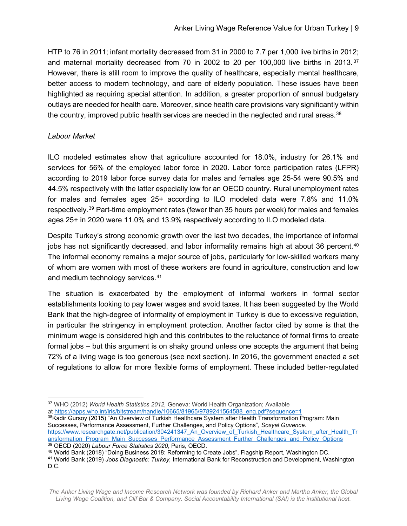HTP to 76 in 2011; infant mortality decreased from 31 in 2000 to 7.7 per 1,000 live births in 2012; and maternal mortality decreased from 70 in 2002 to 20 per 100,000 live births in 2013.<sup>[37](#page-9-0)</sup> However, there is still room to improve the quality of healthcare, especially mental healthcare, better access to modern technology, and care of elderly population. These issues have been highlighted as requiring special attention. In addition, a greater proportion of annual budgetary outlays are needed for health care. Moreover, since health care provisions vary significantly within the country, improved public health services are needed in the neglected and rural areas. $38$ 

#### *Labour Market*

ILO modeled estimates show that agriculture accounted for 18.0%, industry for 26.1% and services for 56% of the employed labor force in 2020. Labor force participation rates (LFPR) according to 2019 labor force survey data for males and females age 25-54 were 90.5% and 44.5% respectively with the latter especially low for an OECD country. Rural unemployment rates for males and females ages 25+ according to ILO modeled data were 7.8% and 11.0% respectively.[39](#page-9-2) Part-time employment rates (fewer than 35 hours per week) for males and females ages 25+ in 2020 were 11.0% and 13.9% respectively according to ILO modeled data.

Despite Turkey's strong economic growth over the last two decades, the importance of informal jobs has not significantly decreased, and labor informality remains high at about 36 percent.<sup>[40](#page-9-3)</sup> The informal economy remains a major source of jobs, particularly for low-skilled workers many of whom are women with most of these workers are found in agriculture, construction and low and medium technology services.<sup>[41](#page-9-4)</sup>

The situation is exacerbated by the employment of informal workers in formal sector establishments looking to pay lower wages and avoid taxes. It has been suggested by the World Bank that the high-degree of informality of employment in Turkey is due to excessive regulation, in particular the stringency in employment protection. Another factor cited by some is that the minimum wage is considered high and this contributes to the reluctance of formal firms to create formal jobs – but this argument is on shaky ground unless one accepts the argument that being 72% of a living wage is too generous (see next section). In 2016, the government enacted a set of regulations to allow for more flexible forms of employment. These included better-regulated

<span id="page-9-1"></span>at [https://apps.who.int/iris/bitstream/handle/10665/81965/9789241564588\\_eng.pdf?sequence=1](https://apps.who.int/iris/bitstream/handle/10665/81965/9789241564588_eng.pdf?sequence=1) 38Kadir Gursoy (2015) "An Overview of Turkish Healthcare System after Health Transformation Program: Main Successes, Performance Assessment, Further Challenges, and Policy Options", *Sosyal Guvence.*  [https://www.researchgate.net/publication/304241347\\_An\\_Overview\\_of\\_Turkish\\_Healthcare\\_System\\_after\\_Health\\_Tr](https://www.researchgate.net/publication/304241347_An_Overview_of_Turkish_Healthcare_System_after_Health_Transformation_Program_Main_Successes_Performance_Assessment_Further_Challenges_and_Policy_Options)

<span id="page-9-0"></span> <sup>37</sup> WHO (2012) *World Health Statistics 2012,* Geneva: World Health Organization; Available

[ansformation\\_Program\\_Main\\_Successes\\_Performance\\_Assessment\\_Further\\_Challenges\\_and\\_Policy\\_Options](https://www.researchgate.net/publication/304241347_An_Overview_of_Turkish_Healthcare_System_after_Health_Transformation_Program_Main_Successes_Performance_Assessment_Further_Challenges_and_Policy_Options) <sup>39</sup> OECD (2020) *Labour Force Statistics 2020*, Paris, OECD.

<span id="page-9-3"></span><span id="page-9-2"></span><sup>40</sup> World Bank (2018) "Doing Business 2018: Reforming to Create Jobs", Flagship Report, Washington DC.

<span id="page-9-4"></span><sup>41</sup> World Bank (2019) *Jobs Diagnostic: Turkey,* International Bank for Reconstruction and Development, Washington D.C.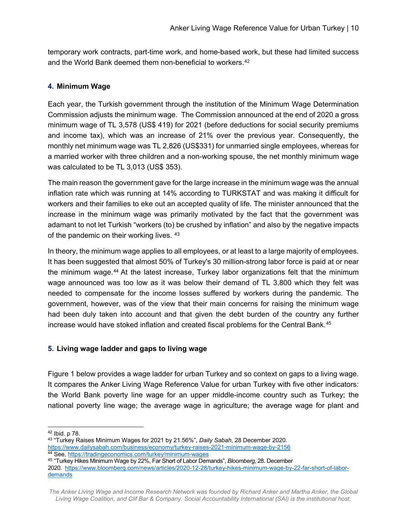temporary work contracts, part-time work, and home-based work, but these had limited success and the World Bank deemed them non-beneficial to workers.<sup>[42](#page-10-0)</sup>

#### **4. Minimum Wage**

Each year, the Turkish government through the institution of the Minimum Wage Determination Commission adjusts the minimum wage. The Commission announced at the end of 2020 a gross minimum wage of TL 3,578 (US\$ 419) for 2021 (before deductions for social security premiums and income tax), which was an increase of 21% over the previous year. Consequently, the monthly net minimum wage was TL 2,826 (US\$331) for unmarried single employees, whereas for a married worker with three children and a non-working spouse, the net monthly minimum wage was calculated to be TL 3,013 (US\$ 353).

The main reason the government gave for the large increase in the minimum wage was the annual inflation rate which was running at 14% according to TURKSTAT and was making it difficult for workers and their families to eke out an accepted quality of life. The minister announced that the increase in the minimum wage was primarily motivated by the fact that the government was adamant to not let Turkish "workers (to) be crushed by inflation" and also by the negative impacts of the pandemic on their working lives. [43](#page-10-1)

In theory, the minimum wage applies to all employees, or at least to a large majority of employees. It has been suggested that almost 50% of Turkey's 30 million-strong labor force is paid at or near the minimum wage.<sup>[44](#page-10-2)</sup> At the latest increase, Turkey labor organizations felt that the minimum wage announced was too low as it was below their demand of TL 3,800 which they felt was needed to compensate for the income losses suffered by workers during the pandemic. The government, however, was of the view that their main concerns for raising the minimum wage had been duly taken into account and that given the debt burden of the country any further increase would have stoked inflation and created fiscal problems for the Central Bank.<sup>[45](#page-10-3)</sup>

#### **5. Living wage ladder and gaps to living wage**

Figure 1 below provides a wage ladder for urban Turkey and so context on gaps to a living wage. It compares the Anker Living Wage Reference Value for urban Turkey with five other indicators: the World Bank poverty line wage for an upper middle-income country such as Turkey; the national poverty line wage; the average wage in agriculture; the average wage for plant and

<span id="page-10-0"></span> <sup>42</sup> Ibid. p 78.

<span id="page-10-1"></span><sup>43</sup> "Turkey Raises Minimum Wages for 2021 by 21.56%", *Daily Sabah*, 28 December 2020. <https://www.dailysabah.com/business/economy/turkey-raises-2021-minimum-wage-by-2156> <sup>44</sup> See,<https://tradingeconomics.com/turkey/minimum-wages>

<span id="page-10-3"></span><span id="page-10-2"></span><sup>45</sup> "Turkey Hikes Minimum Wage by 22%, Far Short of Labor Demands", *Bloomberg*, 28. December

<sup>2020.</sup> [https://www.bloomberg.com/news/articles/2020-12-28/turkey-hikes-minimum-wage-by-22-far-short-of-labor](https://www.bloomberg.com/news/articles/2020-12-28/turkey-hikes-minimum-wage-by-22-far-short-of-labor-demands)[demands](https://www.bloomberg.com/news/articles/2020-12-28/turkey-hikes-minimum-wage-by-22-far-short-of-labor-demands)

*The Anker Living Wage and Income Research Network was founded by Richard Anker and Martha Anker, the Global Living Wage Coalition, and Clif Bar & Company. Social Accountability International (SAI) is the institutional host.*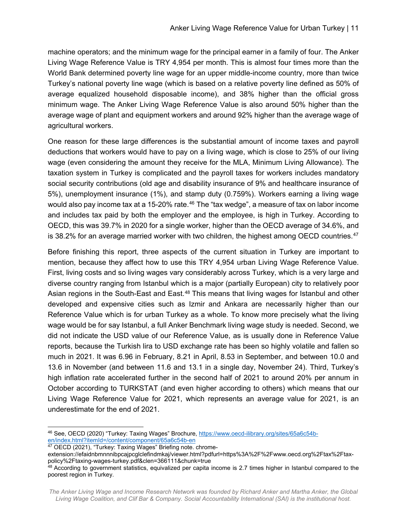machine operators; and the minimum wage for the principal earner in a family of four. The Anker Living Wage Reference Value is TRY 4,954 per month. This is almost four times more than the World Bank determined poverty line wage for an upper middle-income country, more than twice Turkey's national poverty line wage (which is based on a relative poverty line defined as 50% of average equalized household disposable income), and 38% higher than the official gross minimum wage. The Anker Living Wage Reference Value is also around 50% higher than the average wage of plant and equipment workers and around 92% higher than the average wage of agricultural workers.

One reason for these large differences is the substantial amount of income taxes and payroll deductions that workers would have to pay on a living wage, which is close to 25% of our living wage (even considering the amount they receive for the MLA, Minimum Living Allowance). The taxation system in Turkey is complicated and the payroll taxes for workers includes mandatory social security contributions (old age and disability insurance of 9% and healthcare insurance of 5%), unemployment insurance (1%), and stamp duty (0.759%). Workers earning a living wage would also pay income tax at a 15-20% rate.<sup>[46](#page-11-0)</sup> The "tax wedge", a measure of tax on labor income and includes tax paid by both the employer and the employee, is high in Turkey. According to OECD, this was 39.7% in 2020 for a single worker, higher than the OECD average of 34.6%, and is 38.2% for an average married worker with two children, the highest among OECD countries.<sup>[47](#page-11-1)</sup>

Before finishing this report, three aspects of the current situation in Turkey are important to mention, because they affect how to use this TRY 4,954 urban Living Wage Reference Value. First, living costs and so living wages vary considerably across Turkey, which is a very large and diverse country ranging from Istanbul which is a major (partially European) city to relatively poor Asian regions in the South-East and East.<sup>[48](#page-11-2)</sup> This means that living wages for Istanbul and other developed and expensive cities such as Izmir and Ankara are necessarily higher than our Reference Value which is for urban Turkey as a whole. To know more precisely what the living wage would be for say Istanbul, a full Anker Benchmark living wage study is needed. Second, we did not indicate the USD value of our Reference Value, as is usually done in Reference Value reports, because the Turkish lira to USD exchange rate has been so highly volatile and fallen so much in 2021. It was 6.96 in February, 8.21 in April, 8.53 in September, and between 10.0 and 13.6 in November (and between 11.6 and 13.1 in a single day, November 24). Third, Turkey's high inflation rate accelerated further in the second half of 2021 to around 20% per annum in October according to TURKSTAT (and even higher according to others) which means that our Living Wage Reference Value for 2021, which represents an average value for 2021, is an underestimate for the end of 2021.

<span id="page-11-0"></span> <sup>46</sup> See, OECD (2020) "Turkey: Taxing Wages" Brochure, [https://www.oecd-ilibrary.org/sites/65a6c54b](https://www.oecd-ilibrary.org/sites/65a6c54b-en/index.html?itemId=/content/component/65a6c54b-en)[en/index.html?itemId=/content/component/65a6c54b-en](https://www.oecd-ilibrary.org/sites/65a6c54b-en/index.html?itemId=/content/component/65a6c54b-en)

<span id="page-11-1"></span><sup>&</sup>lt;sup>47</sup> OECD (2021), "Turkey: Taxing Wages" Briefing note. chrome-

extension://efaidnbmnnnibpcajpcglclefindmkaj/viewer.html?pdfurl=https%3A%2F%2Fwww.oecd.org%2Ftax%2Ftaxpolicy%2Ftaxing-wages-turkey.pdf&clen=366111&chunk=true

<span id="page-11-2"></span><sup>48</sup> According to government statistics, equivalized per capita income is 2.7 times higher in Istanbul compared to the poorest region in Turkey.